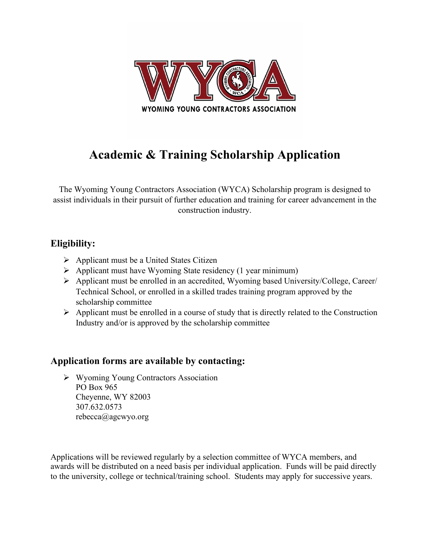

# **Academic & Training Scholarship Application**

The Wyoming Young Contractors Association (WYCA) Scholarship program is designed to assist individuals in their pursuit of further education and training for career advancement in the construction industry.

#### **Eligibility:**

- $\triangleright$  Applicant must be a United States Citizen
- $\triangleright$  Applicant must have Wyoming State residency (1 year minimum)
- Applicant must be enrolled in an accredited, Wyoming based University/College, Career/ Technical School, or enrolled in a skilled trades training program approved by the scholarship committee
- $\triangleright$  Applicant must be enrolled in a course of study that is directly related to the Construction Industry and/or is approved by the scholarship committee

#### **Application forms are available by contacting:**

 Wyoming Young Contractors Association PO Box 965 Cheyenne, WY 82003 307.632.0573 rebecca@agcwyo.org

Applications will be reviewed regularly by a selection committee of WYCA members, and awards will be distributed on a need basis per individual application. Funds will be paid directly to the university, college or technical/training school. Students may apply for successive years.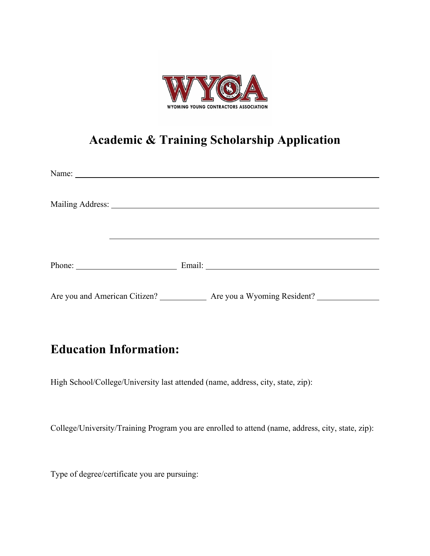

## **Academic & Training Scholarship Application**

|                                                                           | Phone: Email: Email: |  |
|---------------------------------------------------------------------------|----------------------|--|
| Are you and American Citizen? _____________ Are you a Wyoming Resident? _ |                      |  |

## **Education Information:**

High School/College/University last attended (name, address, city, state, zip):

College/University/Training Program you are enrolled to attend (name, address, city, state, zip):

Type of degree/certificate you are pursuing: